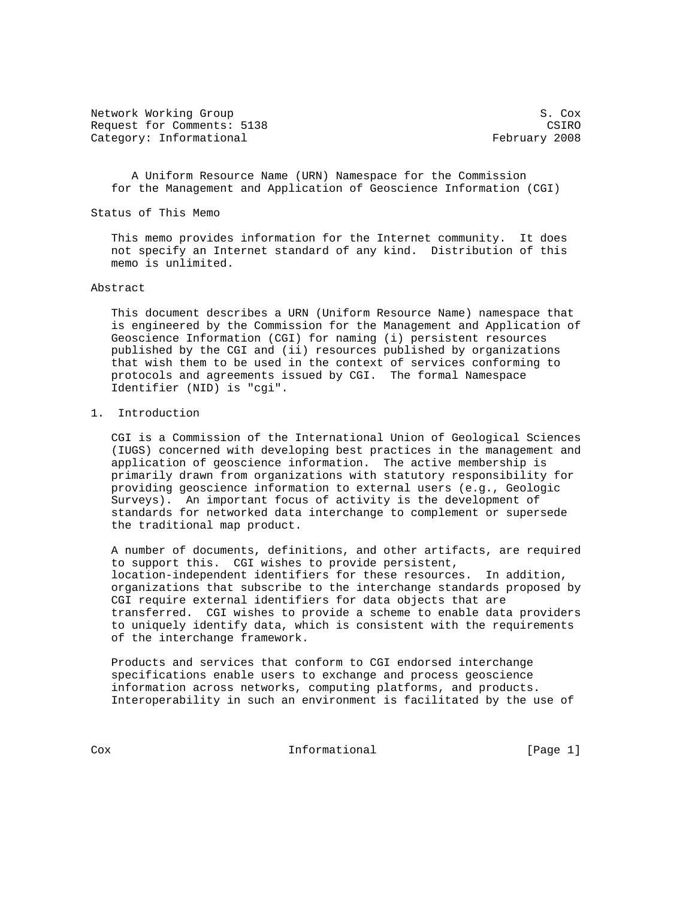Network Working Group S. Cox Request for Comments: 5138 CSIRO Category: Informational example of the control of the February 2008

 A Uniform Resource Name (URN) Namespace for the Commission for the Management and Application of Geoscience Information (CGI)

Status of This Memo

 This memo provides information for the Internet community. It does not specify an Internet standard of any kind. Distribution of this memo is unlimited.

## Abstract

 This document describes a URN (Uniform Resource Name) namespace that is engineered by the Commission for the Management and Application of Geoscience Information (CGI) for naming (i) persistent resources published by the CGI and (ii) resources published by organizations that wish them to be used in the context of services conforming to protocols and agreements issued by CGI. The formal Namespace Identifier (NID) is "cgi".

## 1. Introduction

 CGI is a Commission of the International Union of Geological Sciences (IUGS) concerned with developing best practices in the management and application of geoscience information. The active membership is primarily drawn from organizations with statutory responsibility for providing geoscience information to external users (e.g., Geologic Surveys). An important focus of activity is the development of standards for networked data interchange to complement or supersede the traditional map product.

 A number of documents, definitions, and other artifacts, are required to support this. CGI wishes to provide persistent, location-independent identifiers for these resources. In addition, organizations that subscribe to the interchange standards proposed by CGI require external identifiers for data objects that are transferred. CGI wishes to provide a scheme to enable data providers to uniquely identify data, which is consistent with the requirements of the interchange framework.

 Products and services that conform to CGI endorsed interchange specifications enable users to exchange and process geoscience information across networks, computing platforms, and products. Interoperability in such an environment is facilitated by the use of

Cox 11 Informational [Page 1]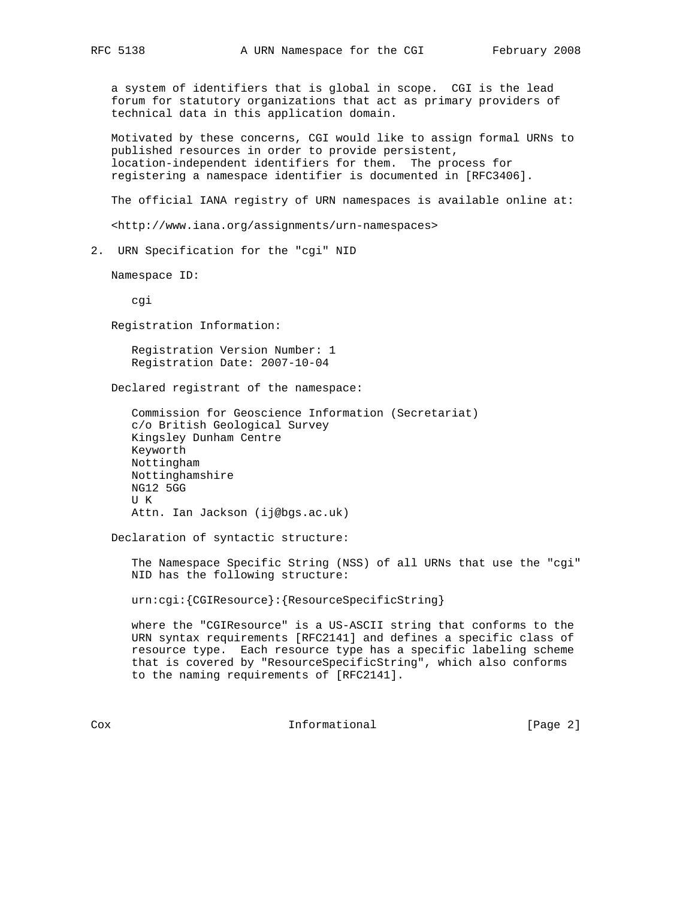a system of identifiers that is global in scope. CGI is the lead forum for statutory organizations that act as primary providers of technical data in this application domain.

 Motivated by these concerns, CGI would like to assign formal URNs to published resources in order to provide persistent, location-independent identifiers for them. The process for registering a namespace identifier is documented in [RFC3406].

The official IANA registry of URN namespaces is available online at:

<http://www.iana.org/assignments/urn-namespaces>

2. URN Specification for the "cgi" NID

Namespace ID:

cgi

Registration Information:

 Registration Version Number: 1 Registration Date: 2007-10-04

Declared registrant of the namespace:

 Commission for Geoscience Information (Secretariat) c/o British Geological Survey Kingsley Dunham Centre Keyworth Nottingham Nottinghamshire NG12 5GG U K Attn. Ian Jackson (ij@bgs.ac.uk)

Declaration of syntactic structure:

 The Namespace Specific String (NSS) of all URNs that use the "cgi" NID has the following structure:

urn:cgi:{CGIResource}:{ResourceSpecificString}

 where the "CGIResource" is a US-ASCII string that conforms to the URN syntax requirements [RFC2141] and defines a specific class of resource type. Each resource type has a specific labeling scheme that is covered by "ResourceSpecificString", which also conforms to the naming requirements of [RFC2141].

Cox **Informational Informational** [Page 2]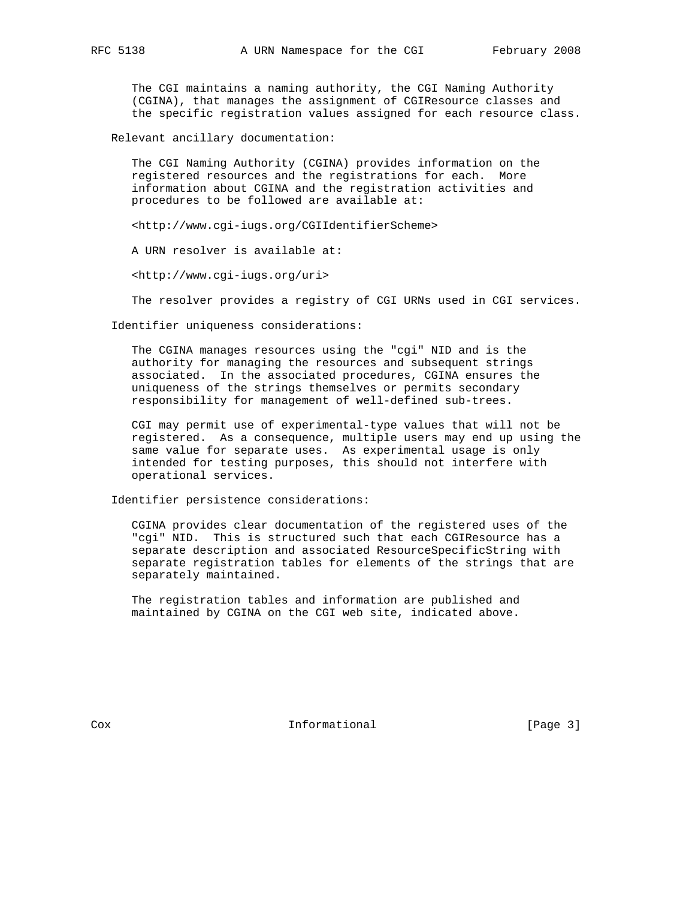The CGI maintains a naming authority, the CGI Naming Authority (CGINA), that manages the assignment of CGIResource classes and the specific registration values assigned for each resource class.

Relevant ancillary documentation:

 The CGI Naming Authority (CGINA) provides information on the registered resources and the registrations for each. More information about CGINA and the registration activities and procedures to be followed are available at:

<http://www.cgi-iugs.org/CGIIdentifierScheme>

A URN resolver is available at:

<http://www.cgi-iugs.org/uri>

The resolver provides a registry of CGI URNs used in CGI services.

Identifier uniqueness considerations:

 The CGINA manages resources using the "cgi" NID and is the authority for managing the resources and subsequent strings associated. In the associated procedures, CGINA ensures the uniqueness of the strings themselves or permits secondary responsibility for management of well-defined sub-trees.

 CGI may permit use of experimental-type values that will not be registered. As a consequence, multiple users may end up using the same value for separate uses. As experimental usage is only intended for testing purposes, this should not interfere with operational services.

Identifier persistence considerations:

 CGINA provides clear documentation of the registered uses of the "cgi" NID. This is structured such that each CGIResource has a separate description and associated ResourceSpecificString with separate registration tables for elements of the strings that are separately maintained.

 The registration tables and information are published and maintained by CGINA on the CGI web site, indicated above.

Cox 1nformational [Page 3]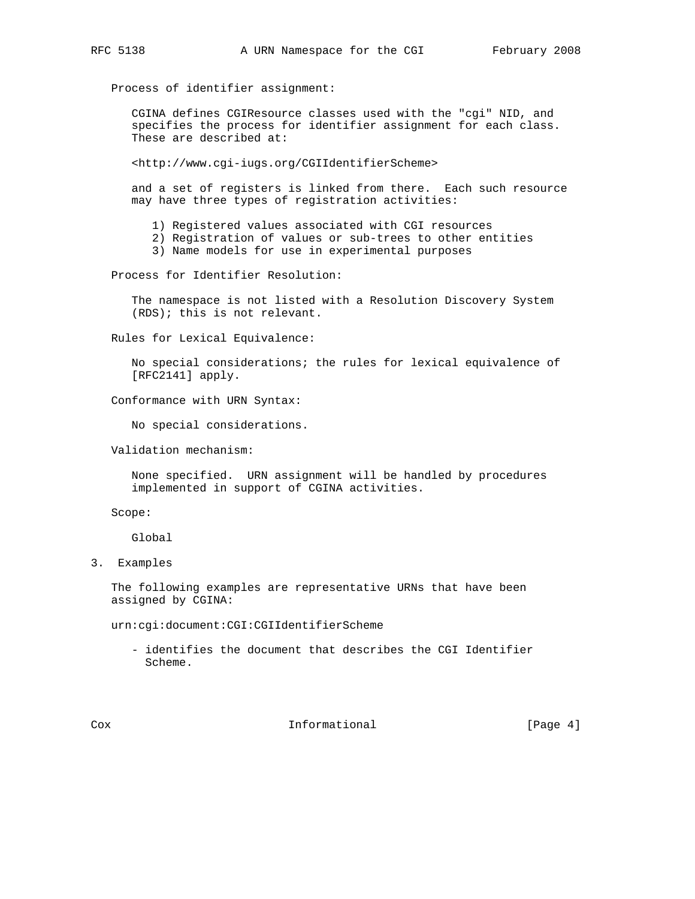Process of identifier assignment:

 CGINA defines CGIResource classes used with the "cgi" NID, and specifies the process for identifier assignment for each class. These are described at:

<http://www.cgi-iugs.org/CGIIdentifierScheme>

 and a set of registers is linked from there. Each such resource may have three types of registration activities:

1) Registered values associated with CGI resources

- 2) Registration of values or sub-trees to other entities
- 3) Name models for use in experimental purposes

Process for Identifier Resolution:

 The namespace is not listed with a Resolution Discovery System (RDS); this is not relevant.

Rules for Lexical Equivalence:

 No special considerations; the rules for lexical equivalence of [RFC2141] apply.

Conformance with URN Syntax:

No special considerations.

Validation mechanism:

 None specified. URN assignment will be handled by procedures implemented in support of CGINA activities.

Scope:

Global

3. Examples

 The following examples are representative URNs that have been assigned by CGINA:

urn:cgi:document:CGI:CGIIdentifierScheme

 - identifies the document that describes the CGI Identifier Scheme.

Cox **Informational** [Page 4]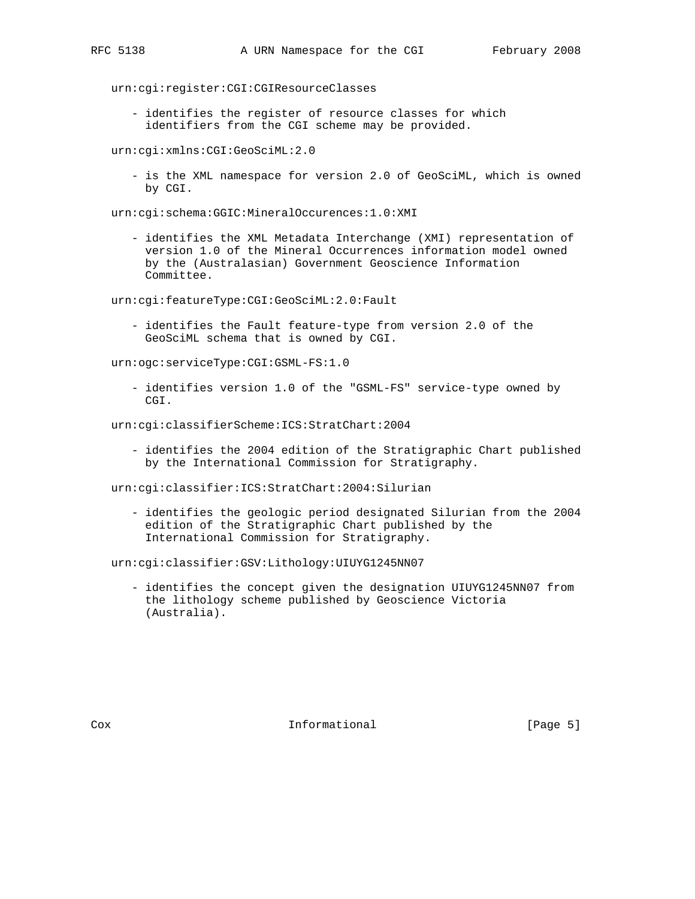urn:cgi:register:CGI:CGIResourceClasses

 - identifies the register of resource classes for which identifiers from the CGI scheme may be provided.

urn:cgi:xmlns:CGI:GeoSciML:2.0

 - is the XML namespace for version 2.0 of GeoSciML, which is owned by CGI.

urn:cgi:schema:GGIC:MineralOccurences:1.0:XMI

 - identifies the XML Metadata Interchange (XMI) representation of version 1.0 of the Mineral Occurrences information model owned by the (Australasian) Government Geoscience Information Committee.

urn:cgi:featureType:CGI:GeoSciML:2.0:Fault

 - identifies the Fault feature-type from version 2.0 of the GeoSciML schema that is owned by CGI.

urn:ogc:serviceType:CGI:GSML-FS:1.0

 - identifies version 1.0 of the "GSML-FS" service-type owned by CGI.

urn:cgi:classifierScheme:ICS:StratChart:2004

 - identifies the 2004 edition of the Stratigraphic Chart published by the International Commission for Stratigraphy.

urn:cgi:classifier:ICS:StratChart:2004:Silurian

 - identifies the geologic period designated Silurian from the 2004 edition of the Stratigraphic Chart published by the International Commission for Stratigraphy.

urn:cgi:classifier:GSV:Lithology:UIUYG1245NN07

 - identifies the concept given the designation UIUYG1245NN07 from the lithology scheme published by Geoscience Victoria (Australia).

Cox **Informational** [Page 5]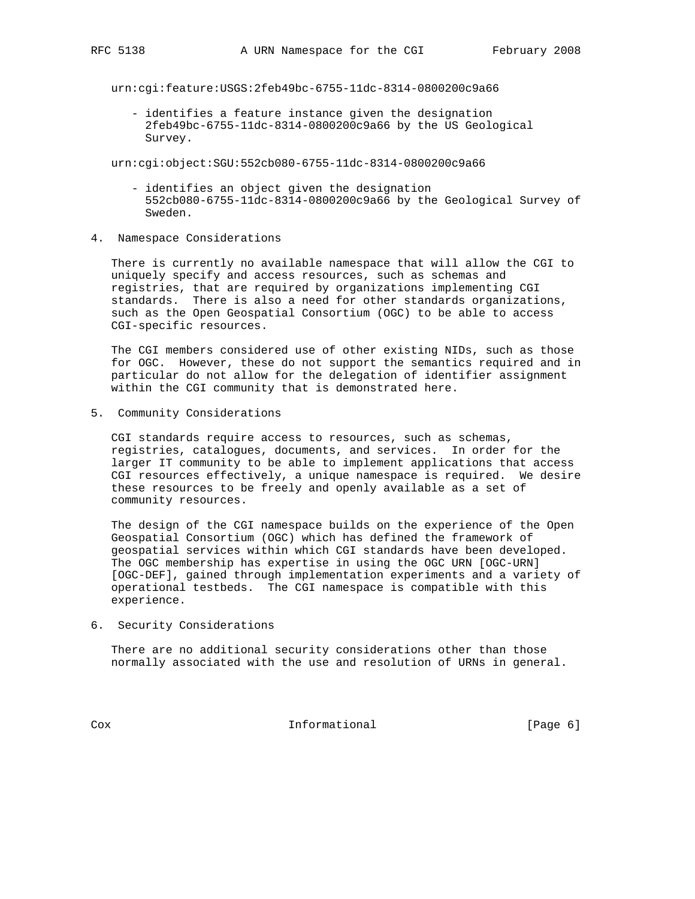urn:cgi:feature:USGS:2feb49bc-6755-11dc-8314-0800200c9a66

 - identifies a feature instance given the designation 2feb49bc-6755-11dc-8314-0800200c9a66 by the US Geological Survey.

urn:cgi:object:SGU:552cb080-6755-11dc-8314-0800200c9a66

- identifies an object given the designation 552cb080-6755-11dc-8314-0800200c9a66 by the Geological Survey of Sweden.
- 4. Namespace Considerations

 There is currently no available namespace that will allow the CGI to uniquely specify and access resources, such as schemas and registries, that are required by organizations implementing CGI standards. There is also a need for other standards organizations, such as the Open Geospatial Consortium (OGC) to be able to access CGI-specific resources.

 The CGI members considered use of other existing NIDs, such as those for OGC. However, these do not support the semantics required and in particular do not allow for the delegation of identifier assignment within the CGI community that is demonstrated here.

5. Community Considerations

 CGI standards require access to resources, such as schemas, registries, catalogues, documents, and services. In order for the larger IT community to be able to implement applications that access CGI resources effectively, a unique namespace is required. We desire these resources to be freely and openly available as a set of community resources.

 The design of the CGI namespace builds on the experience of the Open Geospatial Consortium (OGC) which has defined the framework of geospatial services within which CGI standards have been developed. The OGC membership has expertise in using the OGC URN [OGC-URN] [OGC-DEF], gained through implementation experiments and a variety of operational testbeds. The CGI namespace is compatible with this experience.

6. Security Considerations

 There are no additional security considerations other than those normally associated with the use and resolution of URNs in general.

Cox Informational [Page 6]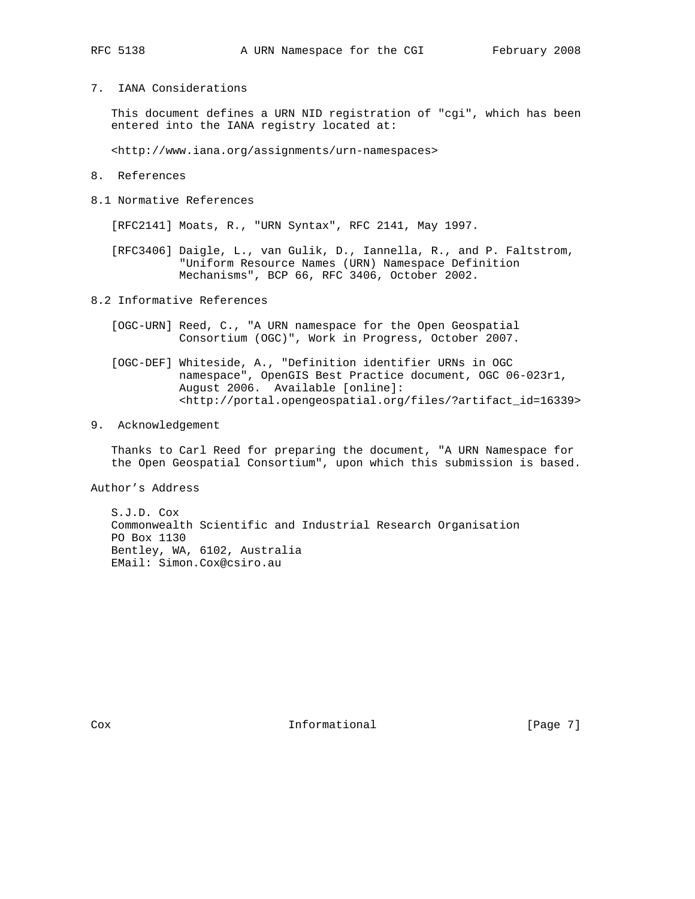- 
- 7. IANA Considerations

 This document defines a URN NID registration of "cgi", which has been entered into the IANA registry located at:

<http://www.iana.org/assignments/urn-namespaces>

- 8. References
- 8.1 Normative References

[RFC2141] Moats, R., "URN Syntax", RFC 2141, May 1997.

 [RFC3406] Daigle, L., van Gulik, D., Iannella, R., and P. Faltstrom, "Uniform Resource Names (URN) Namespace Definition Mechanisms", BCP 66, RFC 3406, October 2002.

8.2 Informative References

- [OGC-URN] Reed, C., "A URN namespace for the Open Geospatial Consortium (OGC)", Work in Progress, October 2007.
- [OGC-DEF] Whiteside, A., "Definition identifier URNs in OGC namespace", OpenGIS Best Practice document, OGC 06-023r1, August 2006. Available [online]: <http://portal.opengeospatial.org/files/?artifact\_id=16339>

## 9. Acknowledgement

 Thanks to Carl Reed for preparing the document, "A URN Namespace for the Open Geospatial Consortium", upon which this submission is based.

Author's Address

 S.J.D. Cox Commonwealth Scientific and Industrial Research Organisation PO Box 1130 Bentley, WA, 6102, Australia EMail: Simon.Cox@csiro.au

Cox **Informational** [Page 7]